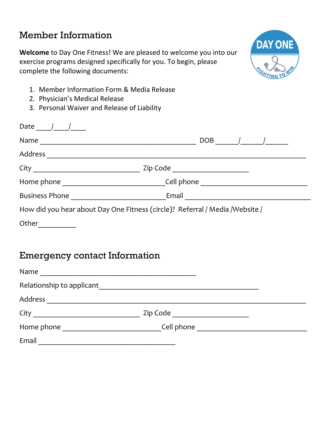## Member Information

Welcome to Day One Fitness! We are pleased to welcome you into our exercise programs designed specifically for you. To begin, please complete the following documents:



- 1. Member Information Form & Media Release
- 2. Physician's Medical Release
- 3. Personal Waiver and Release of Liability

| Date                                                                          |                                                                                                                                                                                                                                                                                                                            |
|-------------------------------------------------------------------------------|----------------------------------------------------------------------------------------------------------------------------------------------------------------------------------------------------------------------------------------------------------------------------------------------------------------------------|
| Name                                                                          | DOB<br>$\frac{1}{2}$ $\frac{1}{2}$ $\frac{1}{2}$ $\frac{1}{2}$ $\frac{1}{2}$ $\frac{1}{2}$ $\frac{1}{2}$ $\frac{1}{2}$ $\frac{1}{2}$ $\frac{1}{2}$ $\frac{1}{2}$ $\frac{1}{2}$ $\frac{1}{2}$ $\frac{1}{2}$ $\frac{1}{2}$ $\frac{1}{2}$ $\frac{1}{2}$ $\frac{1}{2}$ $\frac{1}{2}$ $\frac{1}{2}$ $\frac{1}{2}$ $\frac{1}{2}$ |
| Address                                                                       |                                                                                                                                                                                                                                                                                                                            |
|                                                                               | Zip Code ______________________                                                                                                                                                                                                                                                                                            |
|                                                                               | Cell phone <u>______________</u>                                                                                                                                                                                                                                                                                           |
| Business Phone                                                                | Email                                                                                                                                                                                                                                                                                                                      |
| How did you hear about Day One Fitness (circle)? Referral / Media / Website / |                                                                                                                                                                                                                                                                                                                            |
| Other                                                                         |                                                                                                                                                                                                                                                                                                                            |

### Emergency contact Information

| Name                      |          |                                            |
|---------------------------|----------|--------------------------------------------|
| Relationship to applicant |          |                                            |
| Address                   |          |                                            |
| City                      | Zip Code |                                            |
| Home phone                |          | Cell phone _______________________________ |
| Email                     |          |                                            |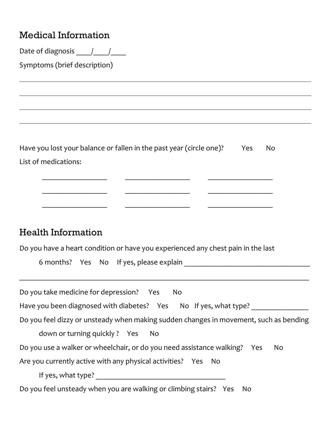### Medical Information

Date of diagnosis  $\frac{1}{\sqrt{2}}$ 

Symptoms (brief description)

 $\overline{a}$ 

 $\overline{a}$ 

Have you lost your balance or fallen in the past year (circle one)? Yes No List of medications:

 $\mathcal{L}_\text{max}$  and the contract of the contract of the contract of the contract of the contract of the contract of the contract of the contract of the contract of the contract of the contract of the contract of the contrac

 $\frac{1}{2}$  ,  $\frac{1}{2}$  ,  $\frac{1}{2}$  ,  $\frac{1}{2}$  ,  $\frac{1}{2}$  ,  $\frac{1}{2}$  ,  $\frac{1}{2}$  ,  $\frac{1}{2}$  ,  $\frac{1}{2}$  ,  $\frac{1}{2}$  ,  $\frac{1}{2}$  ,  $\frac{1}{2}$  ,  $\frac{1}{2}$  ,  $\frac{1}{2}$  ,  $\frac{1}{2}$  ,  $\frac{1}{2}$  ,  $\frac{1}{2}$  ,  $\frac{1}{2}$  ,  $\frac{1$ 

\_\_\_\_\_\_\_\_\_\_\_\_\_\_\_\_\_ \_\_\_\_\_\_\_\_\_\_\_\_\_\_\_\_\_ \_\_\_\_\_\_\_\_\_\_\_\_\_\_\_\_\_

#### Health Information

Do you have a heart condition or have you experienced any chest pain in the last

6 months? Yes No If yes, please explain \_\_\_\_\_\_\_\_\_\_\_\_\_\_\_\_\_\_\_\_\_\_\_\_\_\_\_\_\_\_\_\_\_

| Do you take medicine for depression? Yes<br>No                                        |
|---------------------------------------------------------------------------------------|
| Have you been diagnosed with diabetes? Yes No If yes, what type?                      |
| Do you feel dizzy or unsteady when making sudden changes in movement, such as bending |
| down or turning quickly? Yes<br>No.                                                   |
| Do you use a walker or wheelchair, or do you need assistance walking? Yes<br>No       |
| Are you currently active with any physical activities? Yes No                         |
| If yes, what type?                                                                    |
| Do you feel unsteady when you are walking or climbing stairs? Yes No                  |

\_\_\_\_\_\_\_\_\_\_\_\_\_\_\_\_\_\_\_\_\_\_\_\_\_\_\_\_\_\_\_\_\_\_\_\_\_\_\_\_\_\_\_\_\_\_\_\_\_\_\_\_\_\_\_\_\_\_\_\_\_\_\_\_\_\_\_\_\_\_\_\_\_\_\_\_